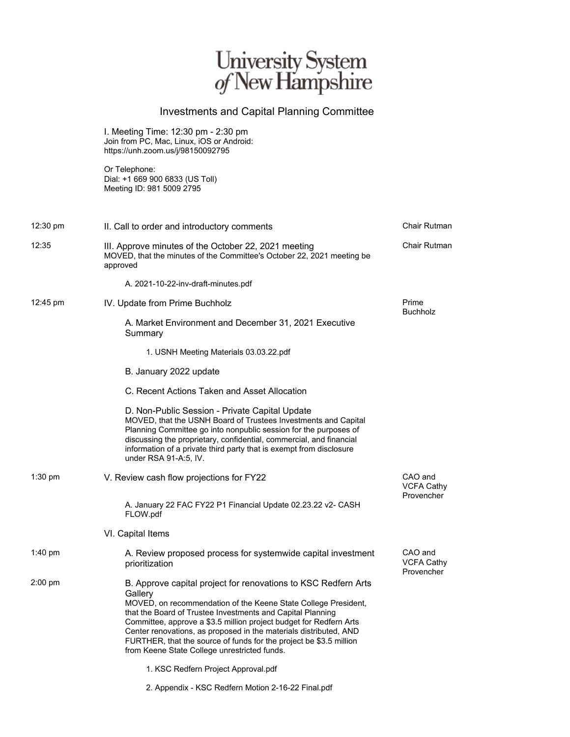## University System<br>of New Hampshire

## Investments and Capital Planning Committee

I. Meeting Time: 12:30 pm - 2:30 pm Join from PC, Mac, Linux, iOS or Android: https://unh.zoom.us/j/98150092795

Or Telephone: Dial: +1 669 900 6833 (US Toll) Meeting ID: 981 5009 2795

| $12:30 \text{ pm}$ | II. Call to order and introductory comments                                                                                                                                                                                                                                                                                                                                                                                                                                | Chair Rutman                               |
|--------------------|----------------------------------------------------------------------------------------------------------------------------------------------------------------------------------------------------------------------------------------------------------------------------------------------------------------------------------------------------------------------------------------------------------------------------------------------------------------------------|--------------------------------------------|
| 12:35              | III. Approve minutes of the October 22, 2021 meeting<br>MOVED, that the minutes of the Committee's October 22, 2021 meeting be<br>approved                                                                                                                                                                                                                                                                                                                                 | Chair Rutman                               |
|                    | A. 2021-10-22-inv-draft-minutes.pdf                                                                                                                                                                                                                                                                                                                                                                                                                                        |                                            |
| $12:45 \text{ pm}$ | IV. Update from Prime Buchholz                                                                                                                                                                                                                                                                                                                                                                                                                                             | Prime<br><b>Buchholz</b>                   |
|                    | A. Market Environment and December 31, 2021 Executive<br>Summary                                                                                                                                                                                                                                                                                                                                                                                                           |                                            |
|                    | 1. USNH Meeting Materials 03.03.22.pdf                                                                                                                                                                                                                                                                                                                                                                                                                                     |                                            |
|                    | B. January 2022 update                                                                                                                                                                                                                                                                                                                                                                                                                                                     |                                            |
|                    | C. Recent Actions Taken and Asset Allocation                                                                                                                                                                                                                                                                                                                                                                                                                               |                                            |
|                    | D. Non-Public Session - Private Capital Update<br>MOVED, that the USNH Board of Trustees Investments and Capital<br>Planning Committee go into nonpublic session for the purposes of<br>discussing the proprietary, confidential, commercial, and financial<br>information of a private third party that is exempt from disclosure<br>under RSA 91-A:5, IV.                                                                                                                |                                            |
| $1:30$ pm          | V. Review cash flow projections for FY22                                                                                                                                                                                                                                                                                                                                                                                                                                   | CAO and<br><b>VCFA Cathy</b><br>Provencher |
|                    | A. January 22 FAC FY22 P1 Financial Update 02.23.22 v2- CASH<br>FLOW.pdf                                                                                                                                                                                                                                                                                                                                                                                                   |                                            |
|                    | VI. Capital Items                                                                                                                                                                                                                                                                                                                                                                                                                                                          |                                            |
| $1:40$ pm          | A. Review proposed process for systemwide capital investment<br>prioritization                                                                                                                                                                                                                                                                                                                                                                                             | CAO and<br><b>VCFA Cathy</b><br>Provencher |
| $2:00$ pm          | B. Approve capital project for renovations to KSC Redfern Arts<br>Gallery<br>MOVED, on recommendation of the Keene State College President,<br>that the Board of Trustee Investments and Capital Planning<br>Committee, approve a \$3.5 million project budget for Redfern Arts<br>Center renovations, as proposed in the materials distributed, AND<br>FURTHER, that the source of funds for the project be \$3.5 million<br>from Keene State College unrestricted funds. |                                            |
|                    | 1. KSC Redfern Project Approval.pdf                                                                                                                                                                                                                                                                                                                                                                                                                                        |                                            |

2. Appendix - KSC Redfern Motion 2-16-22 Final.pdf